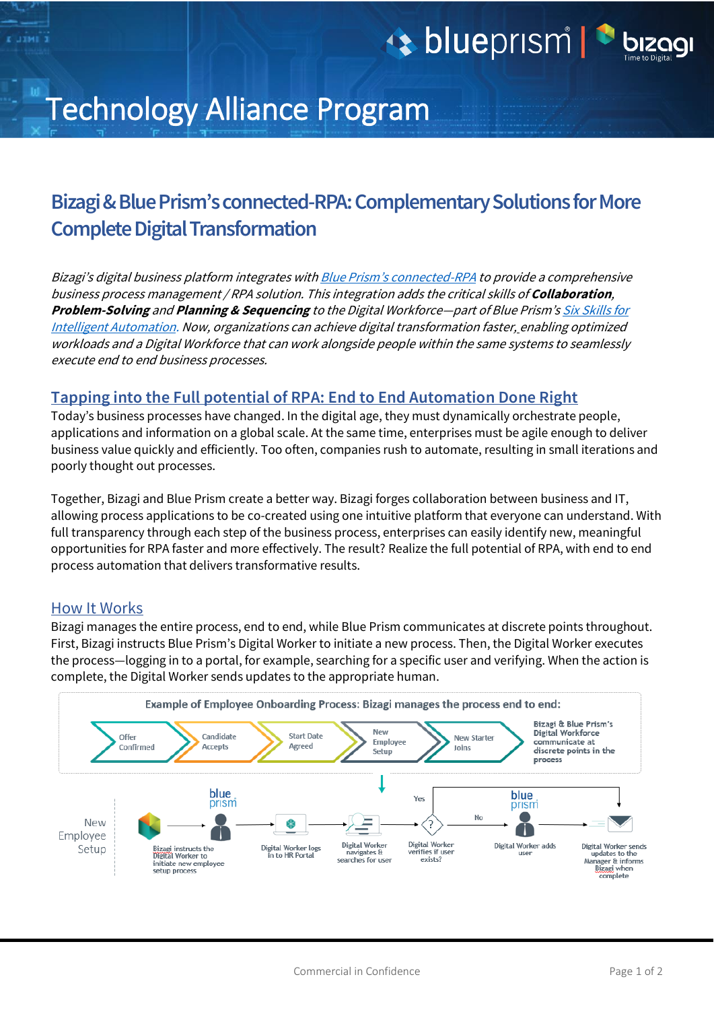# Late blueprism | 1

## Technology Alliance Program

### **Bizagi & Blue Prism'sconnected-RPA: Complementary Solutions for More Complete Digital Transformation**

Bizagi's digital business platform integrates with Blue Prism's [connected-RPA](https://www.blueprism.com/news/blue-prism-drives-new-era-of-collaborative-innovation-and-intelligent-automation-with-connected-rpa) to provide a comprehensive business process management / RPA solution. This integration adds the critical skills of **Collaboration**, **Problem-Solving** and **Planning & Sequencing** to the Digital Workforce—part of Blue Prism's [Six Skills for](https://www.blueprism.com/intelligent-automation-skills)  [Intelligent Automation.](https://www.blueprism.com/intelligent-automation-skills) Now, organizations can achieve digital transformation faster, enabling optimized workloads and a Digital Workforce that can work alongside people within the same systems to seamlessly execute end to end business processes.

### **Tapping into the Full potential of RPA: End to End Automation Done Right**

Today's business processes have changed. In the digital age, they must dynamically orchestrate people, applications and information on a global scale. At the same time, enterprises must be agile enough to deliver business value quickly and efficiently. Too often, companies rush to automate, resulting in small iterations and poorly thought out processes.

Together, Bizagi and Blue Prism create a better way. Bizagi forges collaboration between business and IT, allowing process applications to be co-created using one intuitive platform that everyone can understand. With full transparency through each step of the business process, enterprises can easily identify new, meaningful opportunities for RPA faster and more effectively. The result? Realize the full potential of RPA, with end to end process automation that delivers transformative results.

#### How It Works

Bizagi manages the entire process, end to end, while Blue Prism communicates at discrete points throughout. First, Bizagi instructs Blue Prism's Digital Worker to initiate a new process. Then, the Digital Worker executes the process—logging in to a portal, for example, searching for a specific user and verifying. When the action is complete, the Digital Worker sends updates to the appropriate human.